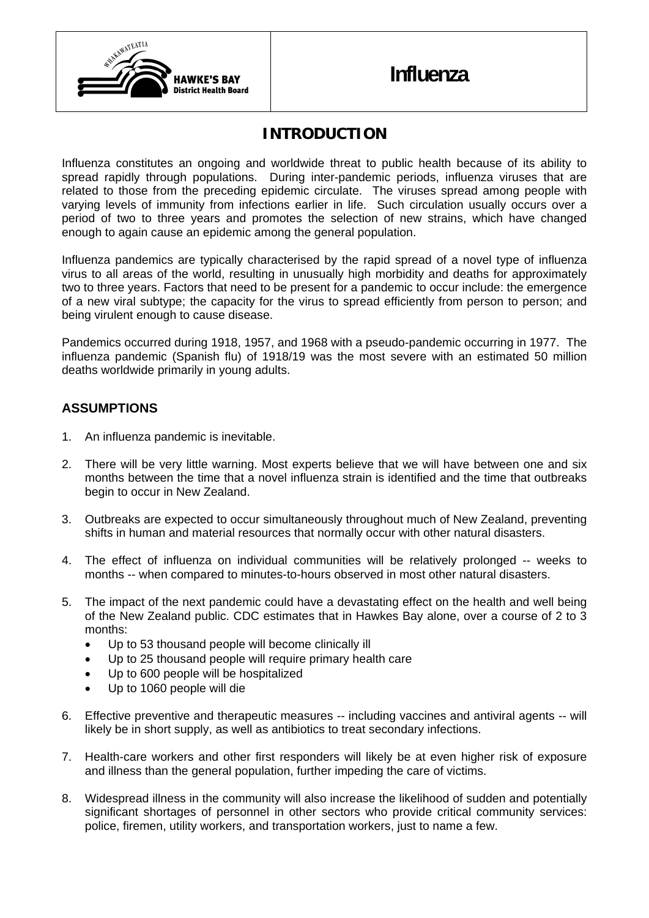

## **INTRODUCTION**

Influenza constitutes an ongoing and worldwide threat to public health because of its ability to spread rapidly through populations. During inter-pandemic periods, influenza viruses that are related to those from the preceding epidemic circulate. The viruses spread among people with varying levels of immunity from infections earlier in life. Such circulation usually occurs over a period of two to three years and promotes the selection of new strains, which have changed enough to again cause an epidemic among the general population.

Influenza pandemics are typically characterised by the rapid spread of a novel type of influenza virus to all areas of the world, resulting in unusually high morbidity and deaths for approximately two to three years. Factors that need to be present for a pandemic to occur include: the emergence of a new viral subtype; the capacity for the virus to spread efficiently from person to person; and being virulent enough to cause disease.

Pandemics occurred during 1918, 1957, and 1968 with a pseudo-pandemic occurring in 1977. The influenza pandemic (Spanish flu) of 1918/19 was the most severe with an estimated 50 million deaths worldwide primarily in young adults.

## **ASSUMPTIONS**

- 1. An influenza pandemic is inevitable.
- 2. There will be very little warning. Most experts believe that we will have between one and six months between the time that a novel influenza strain is identified and the time that outbreaks begin to occur in New Zealand.
- 3. Outbreaks are expected to occur simultaneously throughout much of New Zealand, preventing shifts in human and material resources that normally occur with other natural disasters.
- 4. The effect of influenza on individual communities will be relatively prolonged -- weeks to months -- when compared to minutes-to-hours observed in most other natural disasters.
- 5. The impact of the next pandemic could have a devastating effect on the health and well being of the New Zealand public. CDC estimates that in Hawkes Bay alone, over a course of 2 to 3 months:
	- Up to 53 thousand people will become clinically ill
	- Up to 25 thousand people will require primary health care
	- Up to 600 people will be hospitalized
	- Up to 1060 people will die
- 6. Effective preventive and therapeutic measures -- including vaccines and antiviral agents -- will likely be in short supply, as well as antibiotics to treat secondary infections.
- 7. Health-care workers and other first responders will likely be at even higher risk of exposure and illness than the general population, further impeding the care of victims.
- 8. Widespread illness in the community will also increase the likelihood of sudden and potentially significant shortages of personnel in other sectors who provide critical community services: police, firemen, utility workers, and transportation workers, just to name a few.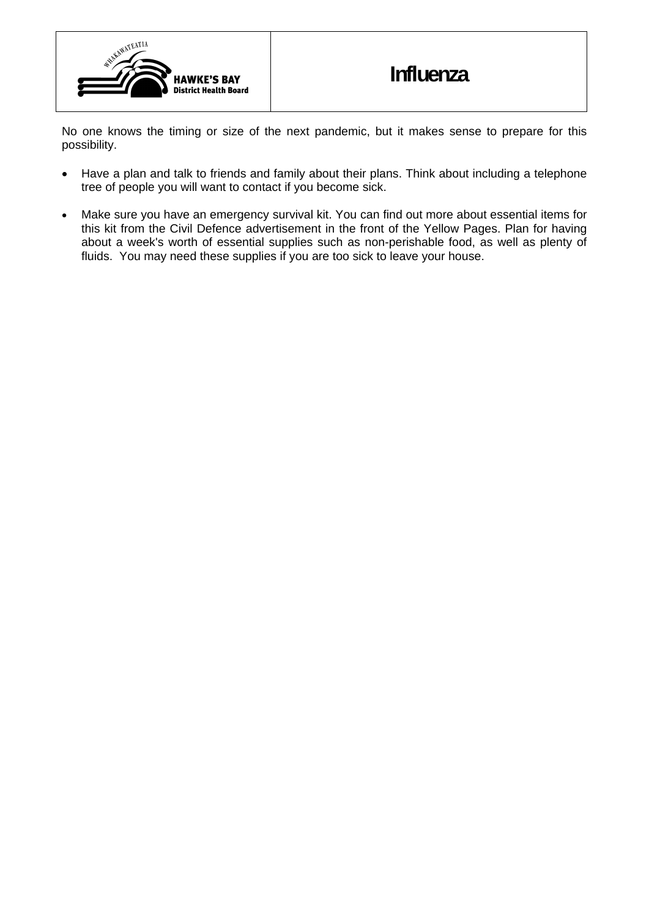

No one knows the timing or size of the next pandemic, but it makes sense to prepare for this possibility.

- Have a plan and talk to friends and family about their plans. Think about including a telephone tree of people you will want to contact if you become sick.
- Make sure you have an emergency survival kit. You can find out more about essential items for this kit from the Civil Defence advertisement in the front of the Yellow Pages. Plan for having about a week's worth of essential supplies such as non-perishable food, as well as plenty of fluids. You may need these supplies if you are too sick to leave your house.